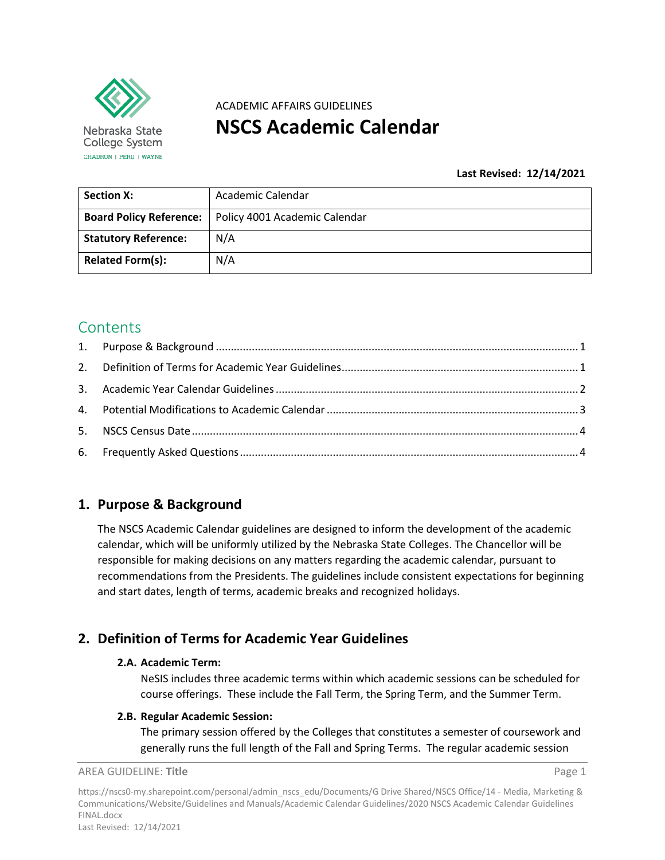

Nebraska State College System CHADRON | PERU | WAYNE

# ACADEMIC AFFAIRS GUIDELINES **NSCS Academic Calendar**

**Last Revised: 12/14/2021**

| <b>Section X:</b>           | Academic Calendar                                              |
|-----------------------------|----------------------------------------------------------------|
|                             | <b>Board Policy Reference:</b>   Policy 4001 Academic Calendar |
| <b>Statutory Reference:</b> | N/A                                                            |
| <b>Related Form(s):</b>     | N/A                                                            |

## **Contents**

## <span id="page-0-0"></span>**1. Purpose & Background**

The NSCS Academic Calendar guidelines are designed to inform the development of the academic calendar, which will be uniformly utilized by the Nebraska State Colleges. The Chancellor will be responsible for making decisions on any matters regarding the academic calendar, pursuant to recommendations from the Presidents. The guidelines include consistent expectations for beginning and start dates, length of terms, academic breaks and recognized holidays.

## <span id="page-0-1"></span>**2. Definition of Terms for Academic Year Guidelines**

### **2.A. Academic Term:**

NeSIS includes three academic terms within which academic sessions can be scheduled for course offerings. These include the Fall Term, the Spring Term, and the Summer Term.

### **2.B. Regular Academic Session:**

The primary session offered by the Colleges that constitutes a semester of coursework and generally runs the full length of the Fall and Spring Terms. The regular academic session

```
AREA GUIDELINE: Title Page 1
```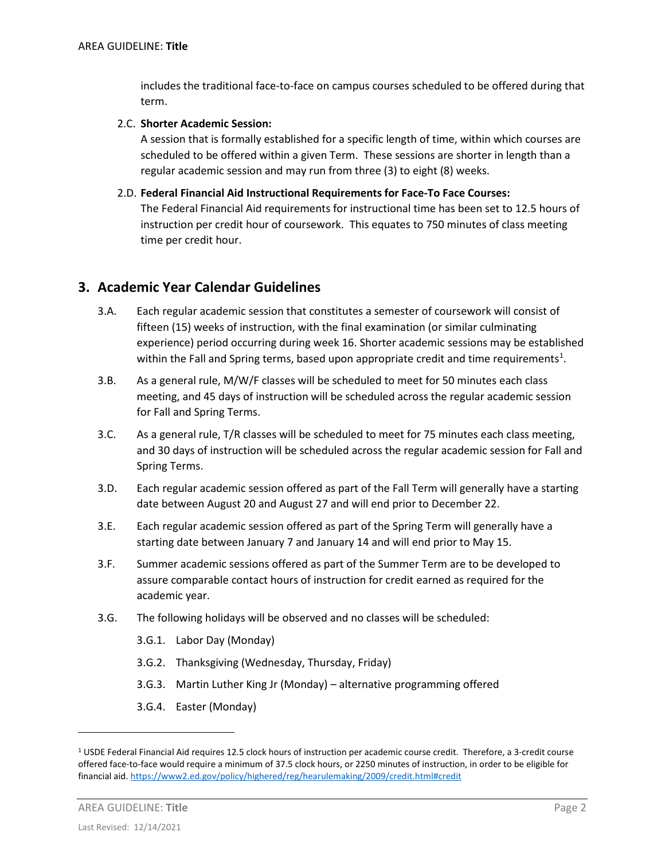includes the traditional face-to-face on campus courses scheduled to be offered during that term.

#### 2.C. **Shorter Academic Session:**

A session that is formally established for a specific length of time, within which courses are scheduled to be offered within a given Term. These sessions are shorter in length than a regular academic session and may run from three (3) to eight (8) weeks.

#### 2.D. **Federal Financial Aid Instructional Requirements for Face-To Face Courses:**

The Federal Financial Aid requirements for instructional time has been set to 12.5 hours of instruction per credit hour of coursework. This equates to 750 minutes of class meeting time per credit hour.

### <span id="page-1-0"></span>**3. Academic Year Calendar Guidelines**

- 3.A. Each regular academic session that constitutes a semester of coursework will consist of fifteen (15) weeks of instruction, with the final examination (or similar culminating experience) period occurring during week 16. Shorter academic sessions may be established within the Fall and Spring terms, based upon appropriate credit and time requirements<sup>1</sup>.
- 3.B. As a general rule, M/W/F classes will be scheduled to meet for 50 minutes each class meeting, and 45 days of instruction will be scheduled across the regular academic session for Fall and Spring Terms.
- 3.C. As a general rule, T/R classes will be scheduled to meet for 75 minutes each class meeting, and 30 days of instruction will be scheduled across the regular academic session for Fall and Spring Terms.
- 3.D. Each regular academic session offered as part of the Fall Term will generally have a starting date between August 20 and August 27 and will end prior to December 22.
- 3.E. Each regular academic session offered as part of the Spring Term will generally have a starting date between January 7 and January 14 and will end prior to May 15.
- 3.F. Summer academic sessions offered as part of the Summer Term are to be developed to assure comparable contact hours of instruction for credit earned as required for the academic year.
- 3.G. The following holidays will be observed and no classes will be scheduled:
	- 3.G.1. Labor Day (Monday)
	- 3.G.2. Thanksgiving (Wednesday, Thursday, Friday)
	- 3.G.3. Martin Luther King Jr (Monday) alternative programming offered
	- 3.G.4. Easter (Monday)

<span id="page-1-1"></span><sup>1</sup> USDE Federal Financial Aid requires 12.5 clock hours of instruction per academic course credit. Therefore, a 3-credit course offered face-to-face would require a minimum of 37.5 clock hours, or 2250 minutes of instruction, in order to be eligible for financial aid[. https://www2.ed.gov/policy/highered/reg/hearulemaking/2009/credit.html#credit](https://www2.ed.gov/policy/highered/reg/hearulemaking/2009/credit.html#credit)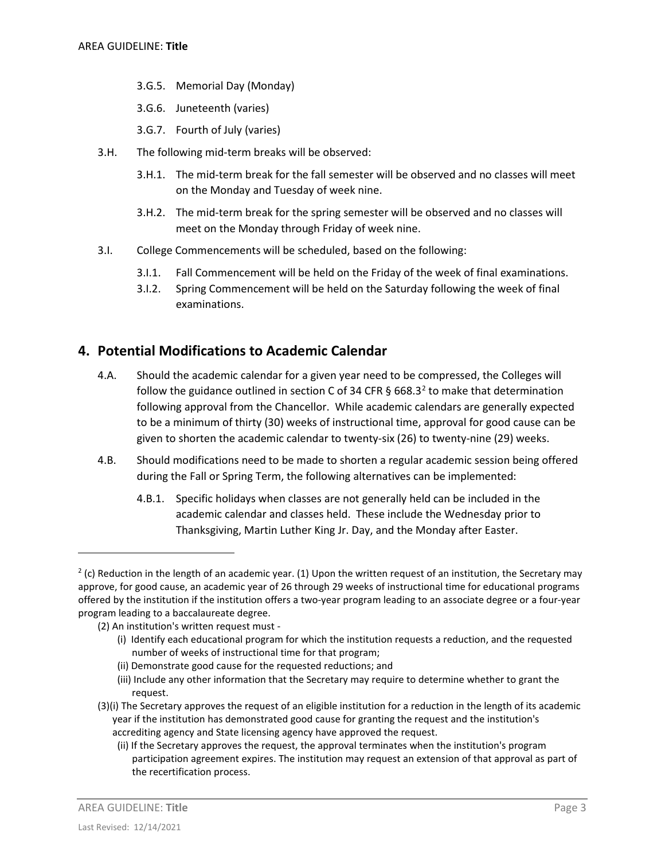- 3.G.5. Memorial Day (Monday)
- 3.G.6. Juneteenth (varies)
- 3.G.7. Fourth of July (varies)
- 3.H. The following mid-term breaks will be observed:
	- 3.H.1. The mid-term break for the fall semester will be observed and no classes will meet on the Monday and Tuesday of week nine.
	- 3.H.2. The mid-term break for the spring semester will be observed and no classes will meet on the Monday through Friday of week nine.
- 3.I. College Commencements will be scheduled, based on the following:
	- 3.I.1. Fall Commencement will be held on the Friday of the week of final examinations.
	- 3.I.2. Spring Commencement will be held on the Saturday following the week of final examinations.

## <span id="page-2-0"></span>**4. Potential Modifications to Academic Calendar**

- 4.A. Should the academic calendar for a given year need to be compressed, the Colleges will follow the guidance outlined in section C of 34 CFR § 668.3<sup>[2](#page-2-1)</sup> to make that determination following approval from the Chancellor. While academic calendars are generally expected to be a minimum of thirty (30) weeks of instructional time, approval for good cause can be given to shorten the academic calendar to twenty-six (26) to twenty-nine (29) weeks.
- 4.B. Should modifications need to be made to shorten a regular academic session being offered during the Fall or Spring Term, the following alternatives can be implemented:
	- 4.B.1. Specific holidays when classes are not generally held can be included in the academic calendar and classes held. These include the Wednesday prior to Thanksgiving, Martin Luther King Jr. Day, and the Monday after Easter.

- (ii) Demonstrate good cause for the requested reductions; and
- (iii) Include any other information that the Secretary may require to determine whether to grant the request.

<span id="page-2-1"></span> $2$  (c) Reduction in the length of an academic year. (1) Upon the written request of an institution, the Secretary may approve, for good cause, an academic year of 26 through 29 weeks of instructional time for educational programs offered by the institution if the institution offers a two-year program leading to an associate degree or a four-year program leading to a baccalaureate degree.

<sup>(2)</sup> An institution's written request must -

<sup>(</sup>i) Identify each educational program for which the institution requests a reduction, and the requested number of weeks of instructional time for that program;

<sup>(3)(</sup>i) The Secretary approves the request of an eligible institution for a reduction in the length of its academic year if the institution has demonstrated good cause for granting the request and the institution's accrediting agency and State licensing agency have approved the request.

<sup>(</sup>ii) If the Secretary approves the request, the approval terminates when the institution's program participation agreement expires. The institution may request an extension of that approval as part of the recertification process.